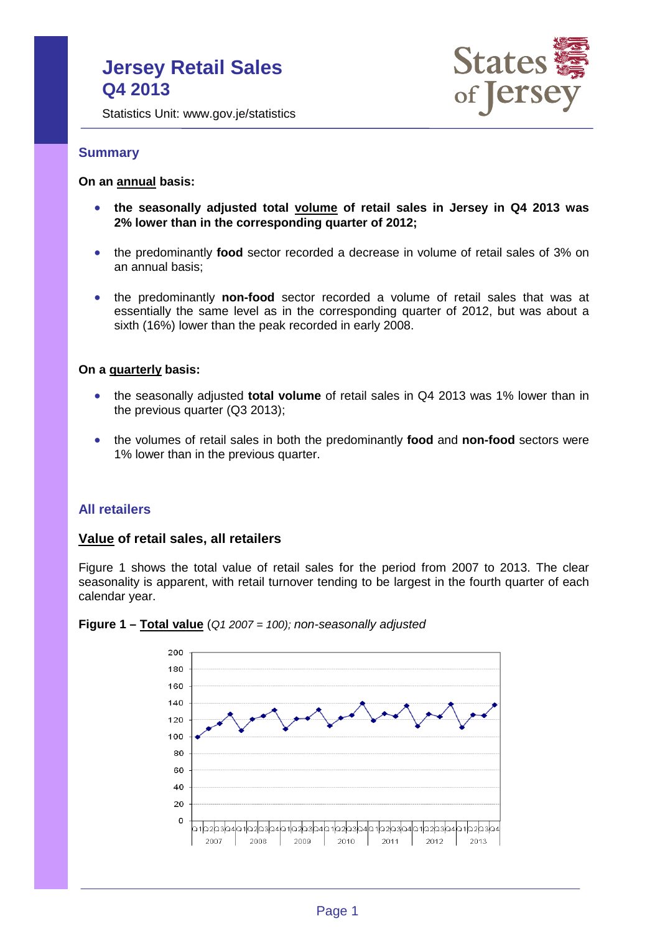# **Jersey Retail Sales Q4 2013**



Statistics Unit: www.gov.je/statistics

## **Summary**

### **On an annual basis:**

- **the seasonally adjusted total volume of retail sales in Jersey in Q4 2013 was 2% lower than in the corresponding quarter of 2012;**
- the predominantly **food** sector recorded a decrease in volume of retail sales of 3% on an annual basis;
- the predominantly **non-food** sector recorded a volume of retail sales that was at essentially the same level as in the corresponding quarter of 2012, but was about a sixth (16%) lower than the peak recorded in early 2008.

#### **On a quarterly basis:**

- the seasonally adjusted **total volume** of retail sales in Q4 2013 was 1% lower than in the previous quarter (Q3 2013);
- the volumes of retail sales in both the predominantly **food** and **non-food** sectors were 1% lower than in the previous quarter.

## **All retailers**

### **Value of retail sales, all retailers**

Figure 1 shows the total value of retail sales for the period from 2007 to 2013. The clear seasonality is apparent, with retail turnover tending to be largest in the fourth quarter of each calendar year.



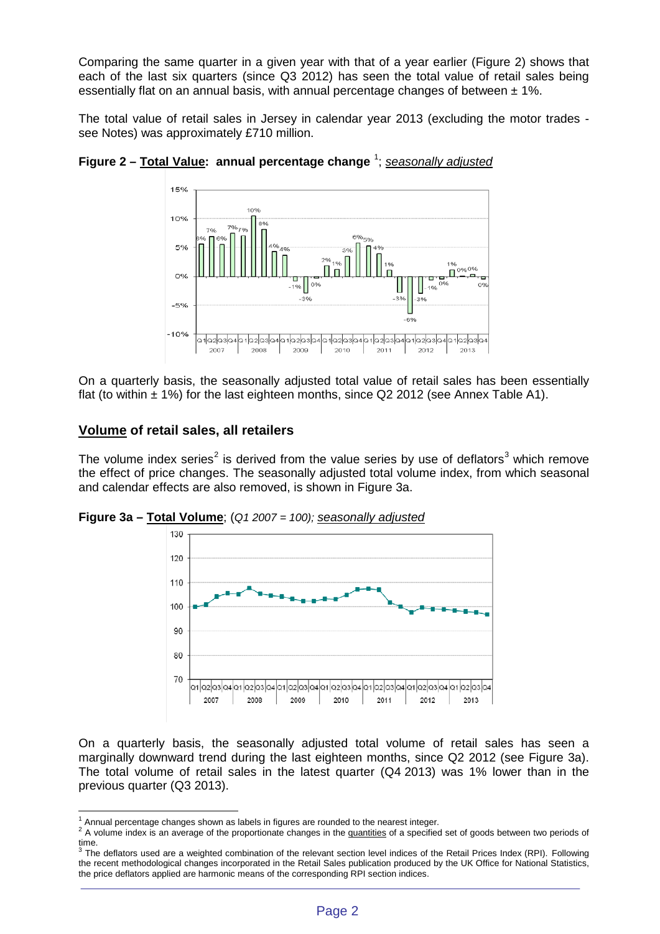Comparing the same quarter in a given year with that of a year earlier (Figure 2) shows that each of the last six quarters (since Q3 2012) has seen the total value of retail sales being essentially flat on an annual basis, with annual percentage changes of between  $\pm 1\%$ .

The total value of retail sales in Jersey in calendar year 2013 (excluding the motor trades see Notes) was approximately £710 million.



**Figure 2 – Total Value: annual percentage change** [1](#page-1-0) ; *seasonally adjusted*

On a quarterly basis, the seasonally adjusted total value of retail sales has been essentially flat (to within  $\pm$  1%) for the last eighteen months, since Q2 2012 (see Annex Table A1).

## **Volume of retail sales, all retailers**

The volume index series<sup>[2](#page-1-1)</sup> is derived from the value series by use of deflators<sup>[3](#page-1-2)</sup> which remove the effect of price changes. The seasonally adjusted total volume index, from which seasonal and calendar effects are also removed, is shown in Figure 3a.

**Figure 3a – Total Volume**; (*Q1 2007 = 100); seasonally adjusted*



On a quarterly basis, the seasonally adjusted total volume of retail sales has seen a marginally downward trend during the last eighteen months, since Q2 2012 (see Figure 3a). The total volume of retail sales in the latest quarter (Q4 2013) was 1% lower than in the previous quarter (Q3 2013).

 $1$  Annual percentage changes shown as labels in figures are rounded to the nearest integer.

<span id="page-1-1"></span><span id="page-1-0"></span><sup>&</sup>lt;sup>2</sup> A volume index is an average of the proportionate changes in the quantities of a specified set of goods between two periods of  $\lim_{3}$ .

<span id="page-1-2"></span><sup>3</sup> The deflators used are a weighted combination of the relevant section level indices of the Retail Prices Index (RPI). Following the recent methodological changes incorporated in the Retail Sales publication produced by the UK Office for National Statistics, the price deflators applied are harmonic means of the corresponding RPI section indices.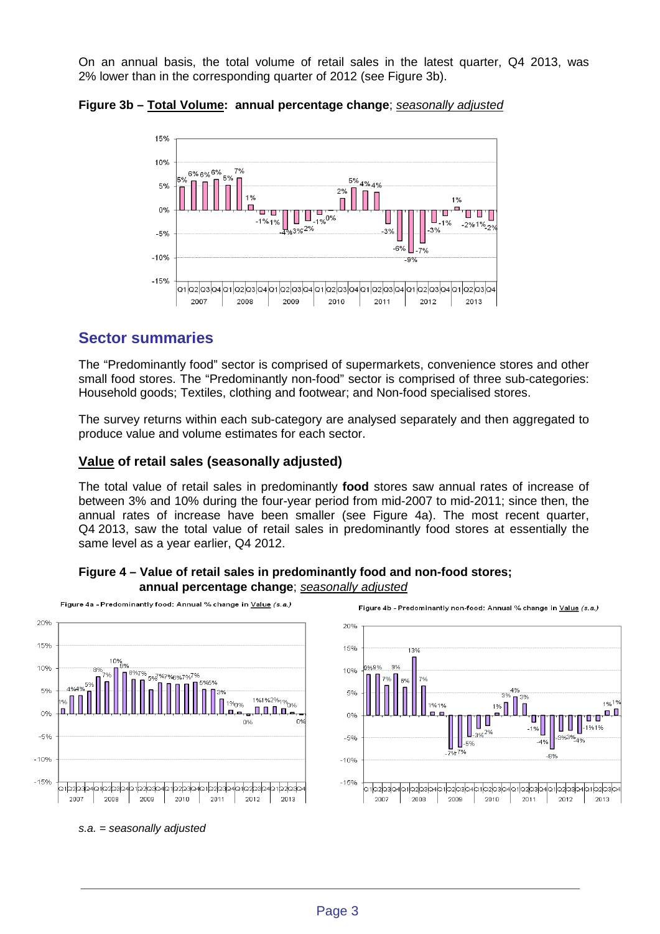On an annual basis, the total volume of retail sales in the latest quarter, Q4 2013, was 2% lower than in the corresponding quarter of 2012 (see Figure 3b).

**Figure 3b – Total Volume: annual percentage change**; *seasonally adjusted*



# **Sector summaries**

The "Predominantly food" sector is comprised of supermarkets, convenience stores and other small food stores. The "Predominantly non-food" sector is comprised of three sub-categories: Household goods; Textiles, clothing and footwear; and Non-food specialised stores.

The survey returns within each sub-category are analysed separately and then aggregated to produce value and volume estimates for each sector.

## **Value of retail sales (seasonally adjusted)**

The total value of retail sales in predominantly **food** stores saw annual rates of increase of between 3% and 10% during the four-year period from mid-2007 to mid-2011; since then, the annual rates of increase have been smaller (see Figure 4a). The most recent quarter, Q4 2013, saw the total value of retail sales in predominantly food stores at essentially the same level as a year earlier, Q4 2012.





Page 3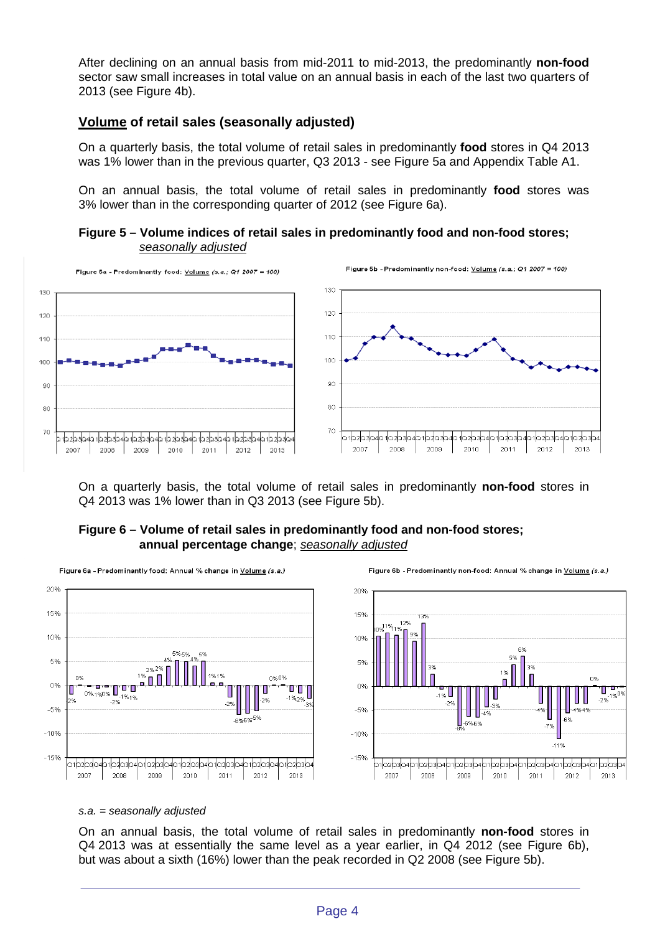After declining on an annual basis from mid-2011 to mid-2013, the predominantly **non-food**  sector saw small increases in total value on an annual basis in each of the last two quarters of 2013 (see Figure 4b).

## **Volume of retail sales (seasonally adjusted)**

On a quarterly basis, the total volume of retail sales in predominantly **food** stores in Q4 2013 was 1% lower than in the previous quarter, Q3 2013 - see Figure 5a and Appendix Table A1.

On an annual basis, the total volume of retail sales in predominantly **food** stores was 3% lower than in the corresponding quarter of 2012 (see Figure 6a).

**Figure 5 – Volume indices of retail sales in predominantly food and non-food stores;** *seasonally adjusted*



On a quarterly basis, the total volume of retail sales in predominantly **non-food** stores in Q4 2013 was 1% lower than in Q3 2013 (see Figure 5b).

## **Figure 6 – Volume of retail sales in predominantly food and non-food stores; annual percentage change**; *seasonally adjusted*



#### *s.a. = seasonally adjusted*

On an annual basis, the total volume of retail sales in predominantly **non-food** stores in Q4 2013 was at essentially the same level as a year earlier, in Q4 2012 (see Figure 6b), but was about a sixth (16%) lower than the peak recorded in Q2 2008 (see Figure 5b).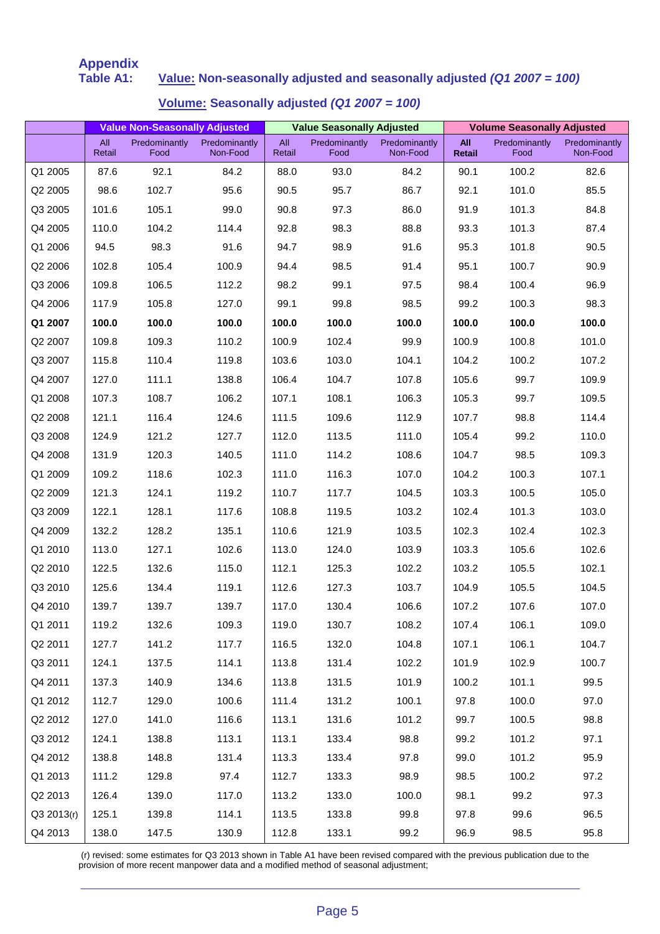## **Appendix Value: Non-seasonally adjusted and seasonally adjusted (Q1 2007 = 100)**

| Volume: Seasonally adjusted (Q1 2007 = 100) |  |
|---------------------------------------------|--|
|---------------------------------------------|--|

|            | <b>Value Non-Seasonally Adjusted</b> |                       |                           | <b>Value Seasonally Adjusted</b> |                       |                           | <b>Volume Seasonally Adjusted</b> |                       |                                  |
|------------|--------------------------------------|-----------------------|---------------------------|----------------------------------|-----------------------|---------------------------|-----------------------------------|-----------------------|----------------------------------|
|            | All<br>Retail                        | Predominantly<br>Food | Predominantly<br>Non-Food | All<br>Retail                    | Predominantly<br>Food | Predominantly<br>Non-Food | <b>All</b><br>Retail              | Predominantly<br>Food | <b>Predominantly</b><br>Non-Food |
| Q1 2005    | 87.6                                 | 92.1                  | 84.2                      | 88.0                             | 93.0                  | 84.2                      | 90.1                              | 100.2                 | 82.6                             |
| Q2 2005    | 98.6                                 | 102.7                 | 95.6                      | 90.5                             | 95.7                  | 86.7                      | 92.1                              | 101.0                 | 85.5                             |
| Q3 2005    | 101.6                                | 105.1                 | 99.0                      | 90.8                             | 97.3                  | 86.0                      | 91.9                              | 101.3                 | 84.8                             |
| Q4 2005    | 110.0                                | 104.2                 | 114.4                     | 92.8                             | 98.3                  | 88.8                      | 93.3                              | 101.3                 | 87.4                             |
| Q1 2006    | 94.5                                 | 98.3                  | 91.6                      | 94.7                             | 98.9                  | 91.6                      | 95.3                              | 101.8                 | 90.5                             |
| Q2 2006    | 102.8                                | 105.4                 | 100.9                     | 94.4                             | 98.5                  | 91.4                      | 95.1                              | 100.7                 | 90.9                             |
| Q3 2006    | 109.8                                | 106.5                 | 112.2                     | 98.2                             | 99.1                  | 97.5                      | 98.4                              | 100.4                 | 96.9                             |
| Q4 2006    | 117.9                                | 105.8                 | 127.0                     | 99.1                             | 99.8                  | 98.5                      | 99.2                              | 100.3                 | 98.3                             |
| Q1 2007    | 100.0                                | 100.0                 | 100.0                     | 100.0                            | 100.0                 | 100.0                     | 100.0                             | 100.0                 | 100.0                            |
| Q2 2007    | 109.8                                | 109.3                 | 110.2                     | 100.9                            | 102.4                 | 99.9                      | 100.9                             | 100.8                 | 101.0                            |
| Q3 2007    | 115.8                                | 110.4                 | 119.8                     | 103.6                            | 103.0                 | 104.1                     | 104.2                             | 100.2                 | 107.2                            |
| Q4 2007    | 127.0                                | 111.1                 | 138.8                     | 106.4                            | 104.7                 | 107.8                     | 105.6                             | 99.7                  | 109.9                            |
| Q1 2008    | 107.3                                | 108.7                 | 106.2                     | 107.1                            | 108.1                 | 106.3                     | 105.3                             | 99.7                  | 109.5                            |
| Q2 2008    | 121.1                                | 116.4                 | 124.6                     | 111.5                            | 109.6                 | 112.9                     | 107.7                             | 98.8                  | 114.4                            |
| Q3 2008    | 124.9                                | 121.2                 | 127.7                     | 112.0                            | 113.5                 | 111.0                     | 105.4                             | 99.2                  | 110.0                            |
| Q4 2008    | 131.9                                | 120.3                 | 140.5                     | 111.0                            | 114.2                 | 108.6                     | 104.7                             | 98.5                  | 109.3                            |
| Q1 2009    | 109.2                                | 118.6                 | 102.3                     | 111.0                            | 116.3                 | 107.0                     | 104.2                             | 100.3                 | 107.1                            |
| Q2 2009    | 121.3                                | 124.1                 | 119.2                     | 110.7                            | 117.7                 | 104.5                     | 103.3                             | 100.5                 | 105.0                            |
| Q3 2009    | 122.1                                | 128.1                 | 117.6                     | 108.8                            | 119.5                 | 103.2                     | 102.4                             | 101.3                 | 103.0                            |
| Q4 2009    | 132.2                                | 128.2                 | 135.1                     | 110.6                            | 121.9                 | 103.5                     | 102.3                             | 102.4                 | 102.3                            |
| Q1 2010    | 113.0                                | 127.1                 | 102.6                     | 113.0                            | 124.0                 | 103.9                     | 103.3                             | 105.6                 | 102.6                            |
| Q2 2010    | 122.5                                | 132.6                 | 115.0                     | 112.1                            | 125.3                 | 102.2                     | 103.2                             | 105.5                 | 102.1                            |
| Q3 2010    | 125.6                                | 134.4                 | 119.1                     | 112.6                            | 127.3                 | 103.7                     | 104.9                             | 105.5                 | 104.5                            |
| Q4 2010    | 139.7                                | 139.7                 | 139.7                     | 117.0                            | 130.4                 | 106.6                     | 107.2                             | 107.6                 | 107.0                            |
| Q1 2011    | 119.2                                | 132.6                 | 109.3                     | 119.0                            | 130.7                 | 108.2                     | 107.4                             | 106.1                 | 109.0                            |
| Q2 2011    | 127.7                                | 141.2                 | 117.7                     | 116.5                            | 132.0                 | 104.8                     | 107.1                             | 106.1                 | 104.7                            |
| Q3 2011    | 124.1                                | 137.5                 | 114.1                     | 113.8                            | 131.4                 | 102.2                     | 101.9                             | 102.9                 | 100.7                            |
| Q4 2011    | 137.3                                | 140.9                 | 134.6                     | 113.8                            | 131.5                 | 101.9                     | 100.2                             | 101.1                 | 99.5                             |
| Q1 2012    | 112.7                                | 129.0                 | 100.6                     | 111.4                            | 131.2                 | 100.1                     | 97.8                              | 100.0                 | 97.0                             |
| Q2 2012    | 127.0                                | 141.0                 | 116.6                     | 113.1                            | 131.6                 | 101.2                     | 99.7                              | 100.5                 | 98.8                             |
| Q3 2012    | 124.1                                | 138.8                 | 113.1                     | 113.1                            | 133.4                 | 98.8                      | 99.2                              | 101.2                 | 97.1                             |
| Q4 2012    | 138.8                                | 148.8                 | 131.4                     | 113.3                            | 133.4                 | 97.8                      | 99.0                              | 101.2                 | 95.9                             |
| Q1 2013    | 111.2                                | 129.8                 | 97.4                      | 112.7                            | 133.3                 | 98.9                      | 98.5                              | 100.2                 | 97.2                             |
| Q2 2013    | 126.4                                | 139.0                 | 117.0                     | 113.2                            | 133.0                 | 100.0                     | 98.1                              | 99.2                  | 97.3                             |
| Q3 2013(r) | 125.1                                | 139.8                 | 114.1                     | 113.5                            | 133.8                 | 99.8                      | 97.8                              | 99.6                  | 96.5                             |
| Q4 2013    | 138.0                                | 147.5                 | 130.9                     | 112.8                            | 133.1                 | 99.2                      | 96.9                              | 98.5                  | 95.8                             |

(r) revised: some estimates for Q3 2013 shown in Table A1 have been revised compared with the previous publication due to the provision of more recent manpower data and a modified method of seasonal adjustment;